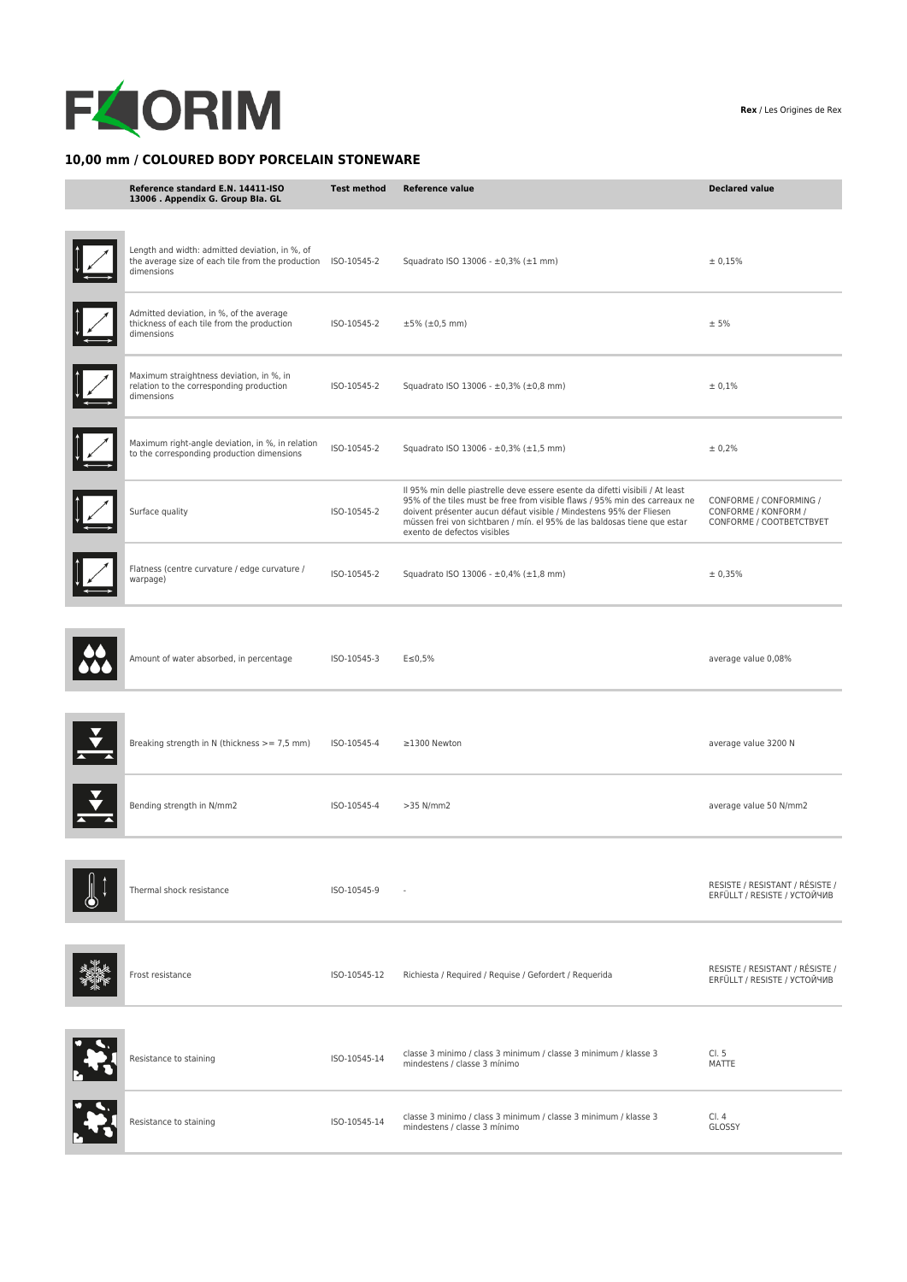

## **10,00 mm / COLOURED BODY PORCELAIN STONEWARE**

| Reference standard E.N. 14411-ISO<br>13006 . Appendix G. Group Bla. GL                                                        | <b>Test method</b> | <b>Reference value</b>                                                                                                                                                                                                                                                                                                                        | <b>Declared value</b>                                                       |
|-------------------------------------------------------------------------------------------------------------------------------|--------------------|-----------------------------------------------------------------------------------------------------------------------------------------------------------------------------------------------------------------------------------------------------------------------------------------------------------------------------------------------|-----------------------------------------------------------------------------|
| Length and width: admitted deviation, in %, of<br>the average size of each tile from the production ISO-10545-2<br>dimensions |                    | Squadrato ISO 13006 - ±0,3% (±1 mm)                                                                                                                                                                                                                                                                                                           | ± 0,15%                                                                     |
| Admitted deviation, in %, of the average<br>thickness of each tile from the production<br>dimensions                          | ISO-10545-2        | $±5\%$ ( $±0,5$ mm)                                                                                                                                                                                                                                                                                                                           | ± 5%                                                                        |
| Maximum straightness deviation, in %, in<br>relation to the corresponding production<br>dimensions                            | ISO-10545-2        | Squadrato ISO 13006 - ±0,3% (±0,8 mm)                                                                                                                                                                                                                                                                                                         | ± 0,1%                                                                      |
| Maximum right-angle deviation, in %, in relation<br>to the corresponding production dimensions                                | ISO-10545-2        | Squadrato ISO 13006 - ±0,3% (±1,5 mm)                                                                                                                                                                                                                                                                                                         | ± 0,2%                                                                      |
| Surface quality                                                                                                               | ISO-10545-2        | Il 95% min delle piastrelle deve essere esente da difetti visibili / At least<br>95% of the tiles must be free from visible flaws / 95% min des carreaux ne<br>doivent présenter aucun défaut visible / Mindestens 95% der Fliesen<br>müssen frei von sichtbaren / mín. el 95% de las baldosas tiene que estar<br>exento de defectos visibles | CONFORME / CONFORMING /<br>CONFORME / KONFORM /<br>CONFORME / COOTBETCTBYET |
| Flatness (centre curvature / edge curvature /<br>warpage)                                                                     | ISO-10545-2        | Squadrato ISO 13006 - ±0,4% (±1,8 mm)                                                                                                                                                                                                                                                                                                         | ± 0,35%                                                                     |
| Amount of water absorbed, in percentage                                                                                       | ISO-10545-3        | $E \le 0,5\%$                                                                                                                                                                                                                                                                                                                                 | average value 0,08%                                                         |
| Breaking strength in N (thickness $>= 7.5$ mm)                                                                                | ISO-10545-4        | ≥1300 Newton                                                                                                                                                                                                                                                                                                                                  | average value 3200 N                                                        |
| Bending strength in N/mm2                                                                                                     | ISO-10545-4        | $>35$ N/mm2                                                                                                                                                                                                                                                                                                                                   | average value 50 N/mm2                                                      |
| Thermal shock resistance                                                                                                      | ISO-10545-9        |                                                                                                                                                                                                                                                                                                                                               | RESISTE / RESISTANT / RÉSISTE /<br>ERFÜLLT / RESISTE / УСТОЙЧИВ             |
| Frost resistance                                                                                                              | ISO-10545-12       | Richiesta / Required / Requise / Gefordert / Requerida                                                                                                                                                                                                                                                                                        | RESISTE / RESISTANT / RÉSISTE /<br>ERFÜLLT / RESISTE / УСТОЙЧИВ             |
| Resistance to staining                                                                                                        | ISO-10545-14       | classe 3 minimo / class 3 minimum / classe 3 minimum / klasse 3<br>mindestens / classe 3 mínimo                                                                                                                                                                                                                                               | Cl. 5<br>MATTE                                                              |
| Resistance to staining                                                                                                        | ISO-10545-14       | classe 3 minimo / class 3 minimum / classe 3 minimum / klasse 3<br>mindestens / classe 3 mínimo                                                                                                                                                                                                                                               | Cl. 4<br>GLOSSY                                                             |

**Rex** / Les Origines de Rex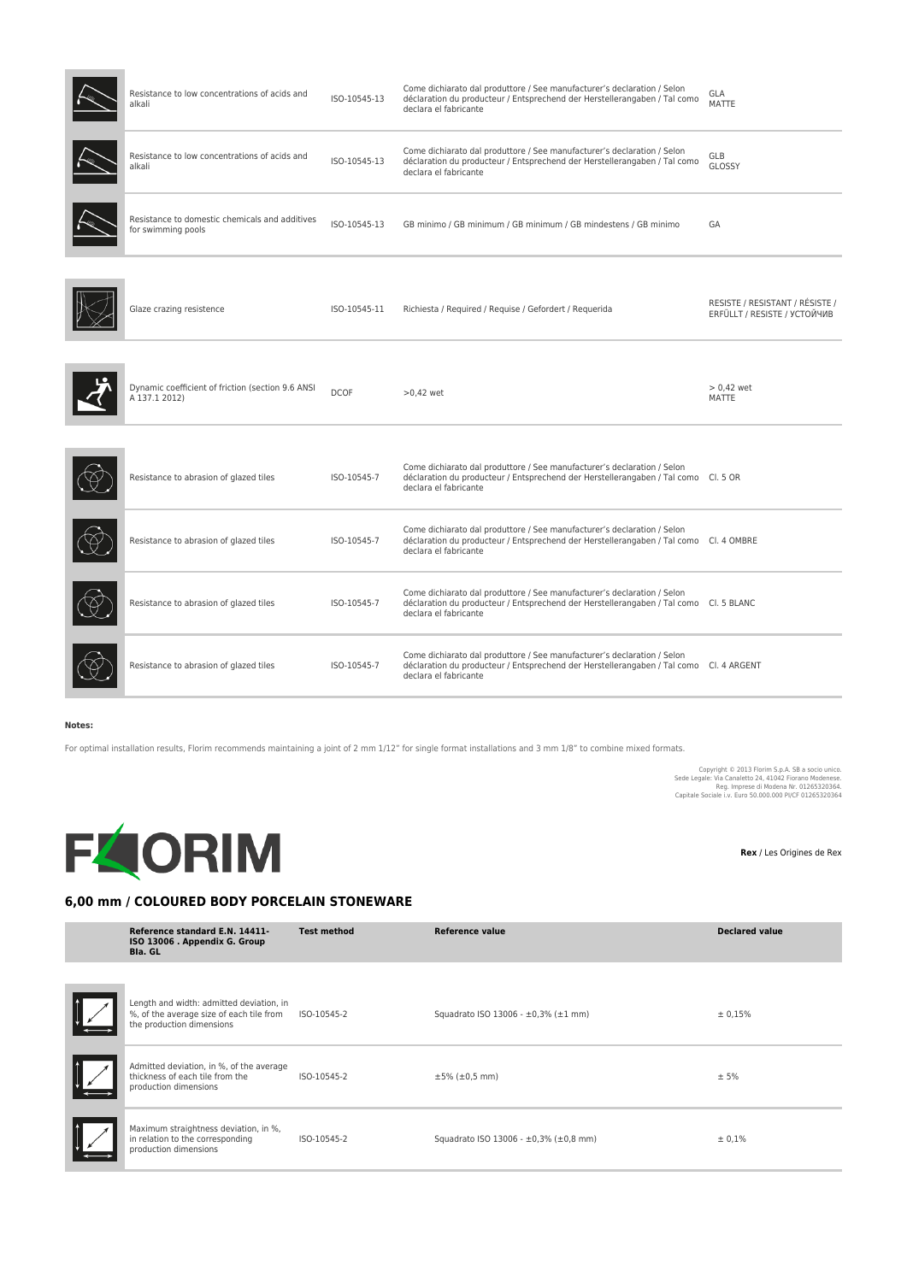| Resistance to low concentrations of acids and<br>alkali              | ISO-10545-13 | Come dichiarato dal produttore / See manufacturer's declaration / Selon<br>déclaration du producteur / Entsprechend der Herstellerangaben / Tal como<br>declara el fabricante              | GLA<br><b>MATTE</b>                                             |
|----------------------------------------------------------------------|--------------|--------------------------------------------------------------------------------------------------------------------------------------------------------------------------------------------|-----------------------------------------------------------------|
| Resistance to low concentrations of acids and<br>alkali              | ISO-10545-13 | Come dichiarato dal produttore / See manufacturer's declaration / Selon<br>déclaration du producteur / Entsprechend der Herstellerangaben / Tal como<br>declara el fabricante              | GLB<br>GLOSSY                                                   |
| Resistance to domestic chemicals and additives<br>for swimming pools | ISO-10545-13 | GB minimo / GB minimum / GB minimum / GB mindestens / GB minimo                                                                                                                            | GA                                                              |
| Glaze crazing resistence                                             | ISO-10545-11 | Richiesta / Required / Requise / Gefordert / Requerida                                                                                                                                     | RESISTE / RESISTANT / RÉSISTE /<br>ERFÜLLT / RESISTE / УСТОЙЧИВ |
| Dynamic coefficient of friction (section 9.6 ANSI<br>A 137.1 2012)   | <b>DCOF</b>  | $>0.42$ wet                                                                                                                                                                                | $> 0.42$ wet<br><b>MATTE</b>                                    |
| Resistance to abrasion of glazed tiles                               | ISO-10545-7  | Come dichiarato dal produttore / See manufacturer's declaration / Selon<br>déclaration du producteur / Entsprechend der Herstellerangaben / Tal como Cl. 5 OR<br>declara el fabricante     |                                                                 |
| Resistance to abrasion of glazed tiles                               | ISO-10545-7  | Come dichiarato dal produttore / See manufacturer's declaration / Selon<br>déclaration du producteur / Entsprechend der Herstellerangaben / Tal como Cl. 4 OMBRE<br>declara el fabricante  |                                                                 |
| Resistance to abrasion of glazed tiles                               | ISO-10545-7  | Come dichiarato dal produttore / See manufacturer's declaration / Selon<br>déclaration du producteur / Entsprechend der Herstellerangaben / Tal como Cl. 5 BLANC<br>declara el fabricante  |                                                                 |
| Resistance to abrasion of glazed tiles                               | ISO-10545-7  | Come dichiarato dal produttore / See manufacturer's declaration / Selon<br>déclaration du producteur / Entsprechend der Herstellerangaben / Tal como Cl. 4 ARGENT<br>declara el fabricante |                                                                 |

## **Notes:**

For optimal installation results, Florim recommends maintaining a joint of 2 mm 1/12" for single format installations and 3 mm 1/8" to combine mixed formats.

Copyright © 2013 Florim S.p.A. SB a socio unico.<br>Sede Legale: Via Canaletto 24, 41042 Fiorano Modenese.<br>Reg. Imprese di Modenese.<br>Capitale Sociale i.v. Euro 50.000.000 PI/CF 01265320364



**Rex** / Les Origines de Rex

## **6,00 mm / COLOURED BODY PORCELAIN STONEWARE**

|   | Reference standard E.N. 14411-<br>ISO 13006 . Appendix G. Group<br><b>Bla. GL</b>                                 | <b>Test method</b> | <b>Reference value</b>                | <b>Declared value</b> |
|---|-------------------------------------------------------------------------------------------------------------------|--------------------|---------------------------------------|-----------------------|
|   |                                                                                                                   |                    |                                       |                       |
| Ł | Length and width: admitted deviation, in<br>%, of the average size of each tile from<br>the production dimensions | ISO-10545-2        | Squadrato ISO 13006 - ±0,3% (±1 mm)   | ± 0.15%               |
|   | Admitted deviation, in %, of the average<br>thickness of each tile from the<br>production dimensions              | ISO-10545-2        | $±5\%$ ( $±0,5$ mm)                   | ± 5%                  |
|   | Maximum straightness deviation, in %,<br>in relation to the corresponding<br>production dimensions                | ISO-10545-2        | Squadrato ISO 13006 - ±0,3% (±0,8 mm) | ± 0,1%                |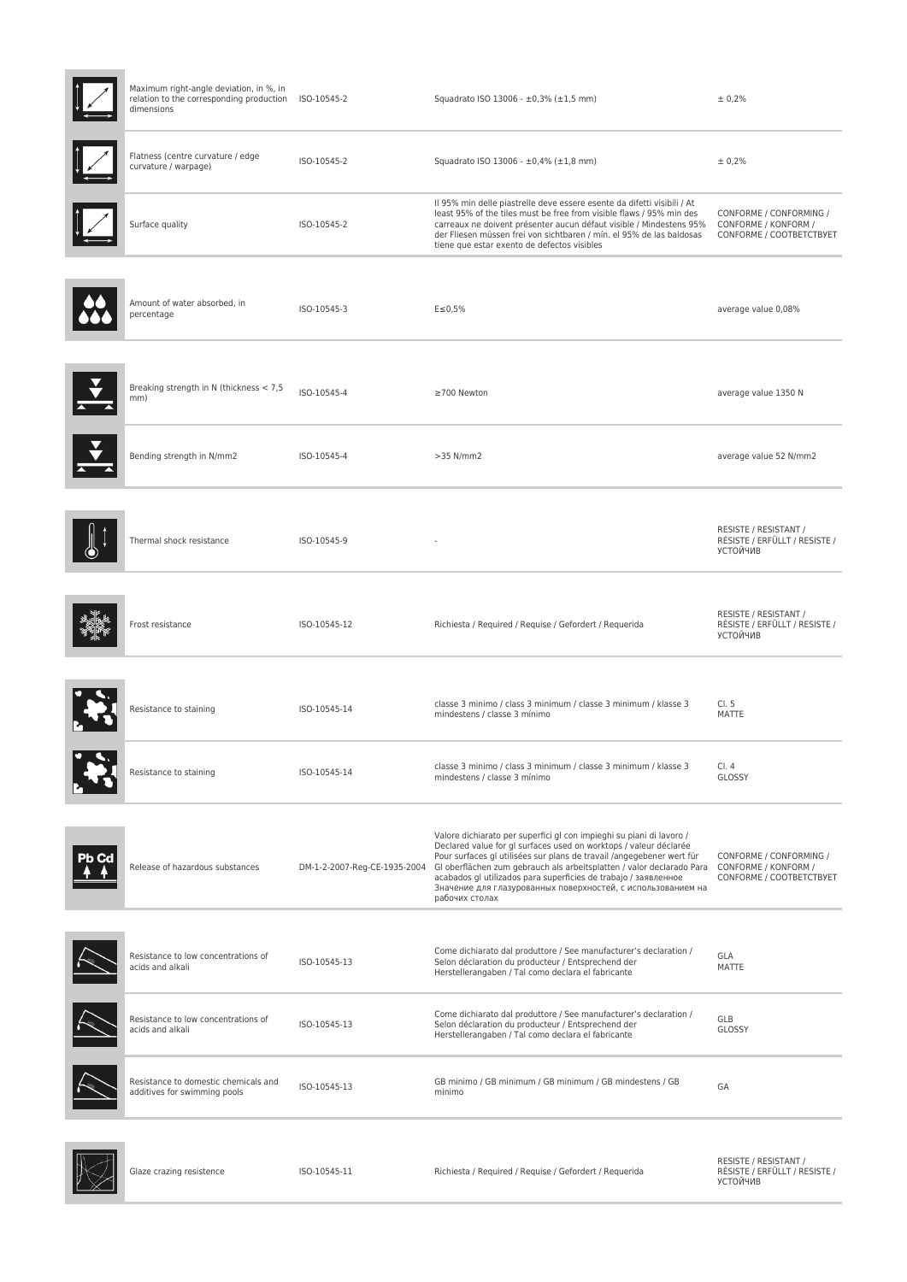| Maximum right-angle deviation, in %, in<br>relation to the corresponding production ISO-10545-2<br>dimensions |                              | Squadrato ISO 13006 - ±0,3% (±1,5 mm)                                                                                                                                                                                                                                                                                                                                                                                                            | ± 0,2%                                                                      |
|---------------------------------------------------------------------------------------------------------------|------------------------------|--------------------------------------------------------------------------------------------------------------------------------------------------------------------------------------------------------------------------------------------------------------------------------------------------------------------------------------------------------------------------------------------------------------------------------------------------|-----------------------------------------------------------------------------|
| Flatness (centre curvature / edge<br>curvature / warpage)                                                     | ISO-10545-2                  | Squadrato ISO 13006 - ±0,4% (±1,8 mm)                                                                                                                                                                                                                                                                                                                                                                                                            | ± 0,2%                                                                      |
| Surface quality                                                                                               | ISO-10545-2                  | Il 95% min delle piastrelle deve essere esente da difetti visibili / At<br>least 95% of the tiles must be free from visible flaws / 95% min des<br>carreaux ne doivent présenter aucun défaut visible / Mindestens 95%<br>der Fliesen müssen frei von sichtbaren / mín. el 95% de las baldosas<br>tiene que estar exento de defectos visibles                                                                                                    | CONFORME / CONFORMING /<br>CONFORME / KONFORM /<br>CONFORME / COOTBETCTBYET |
| Amount of water absorbed, in<br>percentage                                                                    | ISO-10545-3                  | $E \le 0,5%$                                                                                                                                                                                                                                                                                                                                                                                                                                     | average value 0,08%                                                         |
| Breaking strength in N (thickness < 7,5<br>mm)                                                                | ISO-10545-4                  | ≥700 Newton                                                                                                                                                                                                                                                                                                                                                                                                                                      | average value 1350 N                                                        |
| Bending strength in N/mm2                                                                                     | ISO-10545-4                  | $>35$ N/mm2                                                                                                                                                                                                                                                                                                                                                                                                                                      | average value 52 N/mm2                                                      |
| Thermal shock resistance                                                                                      | ISO-10545-9                  |                                                                                                                                                                                                                                                                                                                                                                                                                                                  | RESISTE / RESISTANT /<br>RÉSISTE / ERFÜLLT / RESISTE /<br>УСТОЙЧИВ          |
| Frost resistance                                                                                              | ISO-10545-12                 | Richiesta / Required / Requise / Gefordert / Requerida                                                                                                                                                                                                                                                                                                                                                                                           | RESISTE / RESISTANT /<br>RÉSISTE / ERFÜLLT / RESISTE /<br>УСТОЙЧИВ          |
| Resistance to staining                                                                                        | ISO-10545-14                 | classe 3 minimo / class 3 minimum / classe 3 minimum / klasse 3<br>mindestens / classe 3 mínimo                                                                                                                                                                                                                                                                                                                                                  | Cl. 5<br>MATTE                                                              |
| Resistance to staining                                                                                        | ISO-10545-14                 | classe 3 minimo / class 3 minimum / classe 3 minimum / klasse 3<br>mindestens / classe 3 mínimo                                                                                                                                                                                                                                                                                                                                                  | Cl. 4<br>GLOSSY                                                             |
| Release of hazardous substances                                                                               | DM-1-2-2007-Reg-CE-1935-2004 | Valore dichiarato per superfici gl con impieghi su piani di lavoro /<br>Declared value for gl surfaces used on worktops / valeur déclarée<br>Pour surfaces gl utilisées sur plans de travail /angegebener wert für<br>GI oberflächen zum gebrauch als arbeitsplatten / valor declarado Para<br>acabados gl utilizados para superficies de trabajo / заявленное<br>Значение для глазурованных поверхностей, с использованием на<br>рабочих столах | CONFORME / CONFORMING /<br>CONFORME / KONFORM /<br>CONFORME / COOTBETCTBYET |
| Resistance to low concentrations of<br>acids and alkali                                                       | ISO-10545-13                 | Come dichiarato dal produttore / See manufacturer's declaration /<br>Selon déclaration du producteur / Entsprechend der<br>Herstellerangaben / Tal como declara el fabricante                                                                                                                                                                                                                                                                    | GLA<br>MATTE                                                                |
| Resistance to low concentrations of<br>acids and alkali                                                       | ISO-10545-13                 | Come dichiarato dal produttore / See manufacturer's declaration /<br>Selon déclaration du producteur / Entsprechend der<br>Herstellerangaben / Tal como declara el fabricante                                                                                                                                                                                                                                                                    | GLB<br>GLOSSY                                                               |
| Resistance to domestic chemicals and<br>additives for swimming pools                                          | ISO-10545-13                 | GB minimo / GB minimum / GB minimum / GB mindestens / GB<br>minimo                                                                                                                                                                                                                                                                                                                                                                               | GA                                                                          |
| Glaze crazing resistence                                                                                      | ISO-10545-11                 | Richiesta / Required / Requise / Gefordert / Requerida                                                                                                                                                                                                                                                                                                                                                                                           | RESISTE / RESISTANT /<br>RÉSISTE / ERFÜLLT / RESISTE /<br>УСТОЙЧИВ          |